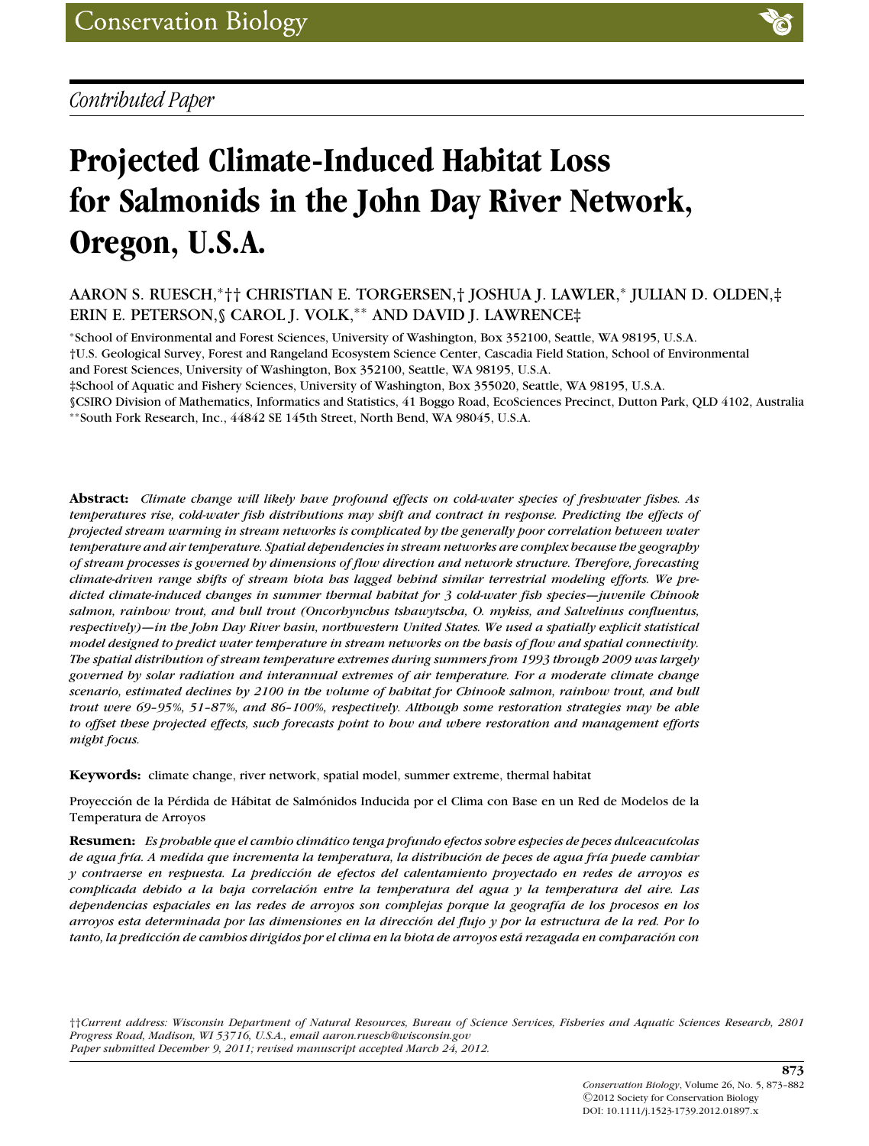# **Projected Climate-Induced Habitat Loss for Salmonids in the John Day River Network, Oregon, U.S.A.**

# AARON S. RUESCH,∗†† CHRISTIAN E. TORGERSEN,† JOSHUA J. LAWLER,<sup>∗</sup> JULIAN D. OLDEN,‡ ERIN E. PETERSON,§ CAROL J. VOLK,∗∗ AND DAVID J. LAWRENCE‡

<sup>∗</sup>School of Environmental and Forest Sciences, University of Washington, Box 352100, Seattle, WA 98195, U.S.A. †U.S. Geological Survey, Forest and Rangeland Ecosystem Science Center, Cascadia Field Station, School of Environmental and Forest Sciences, University of Washington, Box 352100, Seattle, WA 98195, U.S.A.

‡School of Aquatic and Fishery Sciences, University of Washington, Box 355020, Seattle, WA 98195, U.S.A.

§CSIRO Division of Mathematics, Informatics and Statistics, 41 Boggo Road, EcoSciences Precinct, Dutton Park, QLD 4102, Australia ∗∗South Fork Research, Inc., 44842 SE 145th Street, North Bend, WA 98045, U.S.A.

**Abstract:** *Climate change will likely have profound effects on cold-water species of freshwater fishes. As temperatures rise, cold-water fish distributions may shift and contract in response. Predicting the effects of projected stream warming in stream networks is complicated by the generally poor correlation between water temperature and air temperature. Spatial dependencies in stream networks are complex because the geography of stream processes is governed by dimensions of flow direction and network structure. Therefore, forecasting climate-driven range shifts of stream biota has lagged behind similar terrestrial modeling efforts. We predicted climate-induced changes in summer thermal habitat for 3 cold-water fish species—juvenile Chinook salmon, rainbow trout, and bull trout (Oncorhynchus tshawytscha, O. mykiss, and Salvelinus confluentus, respectively)—in the John Day River basin, northwestern United States. We used a spatially explicit statistical model designed to predict water temperature in stream networks on the basis of flow and spatial connectivity. The spatial distribution of stream temperature extremes during summers from 1993 through 2009 was largely governed by solar radiation and interannual extremes of air temperature. For a moderate climate change scenario, estimated declines by 2100 in the volume of habitat for Chinook salmon, rainbow trout, and bull trout were 69–95%, 51–87%, and 86–100%, respectively. Although some restoration strategies may be able to offset these projected effects, such forecasts point to how and where restoration and management efforts might focus.*

**Keywords:** climate change, river network, spatial model, summer extreme, thermal habitat

Proyección de la Pérdida de Hábitat de Salmónidos Inducida por el Clima con Base en un Red de Modelos de la Temperatura de Arroyos

**Resumen:** *Es probable que el cambio climatico tenga profundo efectos sobre especies de peces dulceacu ´ ´ıcolas de agua fr´ıa. A medida que incrementa la temperatura, la distribucion de peces de agua fr ´ ´ıa puede cambiar y contraerse en respuesta. La prediccion de efectos del calentamiento proyectado en redes de arroyos es ´ complicada debido a la baja correlacion entre la temperatura del agua y la temperatura del aire. Las ´ dependencias espaciales en las redes de arroyos son complejas porque la geograf´ıa de los procesos en los arroyos esta determinada por las dimensiones en la direccion del flujo y por la estructura de la red. Por lo ´ tanto, la prediccion de cambios dirigidos por el clima en la biota de arroyos est ´ a rezagada en comparaci ´ on con ´*

††*Current address: Wisconsin Department of Natural Resources, Bureau of Science Services, Fisheries and Aquatic Sciences Research, 2801 Progress Road, Madison, WI 53716, U.S.A., email aaron.ruesch@wisconsin.gov Paper submitted December 9, 2011; revised manuscript accepted March 24, 2012.*

> **873** *Conservation Biology*, Volume 26, No. 5, 873–882 C 2012 Society for Conservation Biology DOI: 10.1111/j.1523-1739.2012.01897.x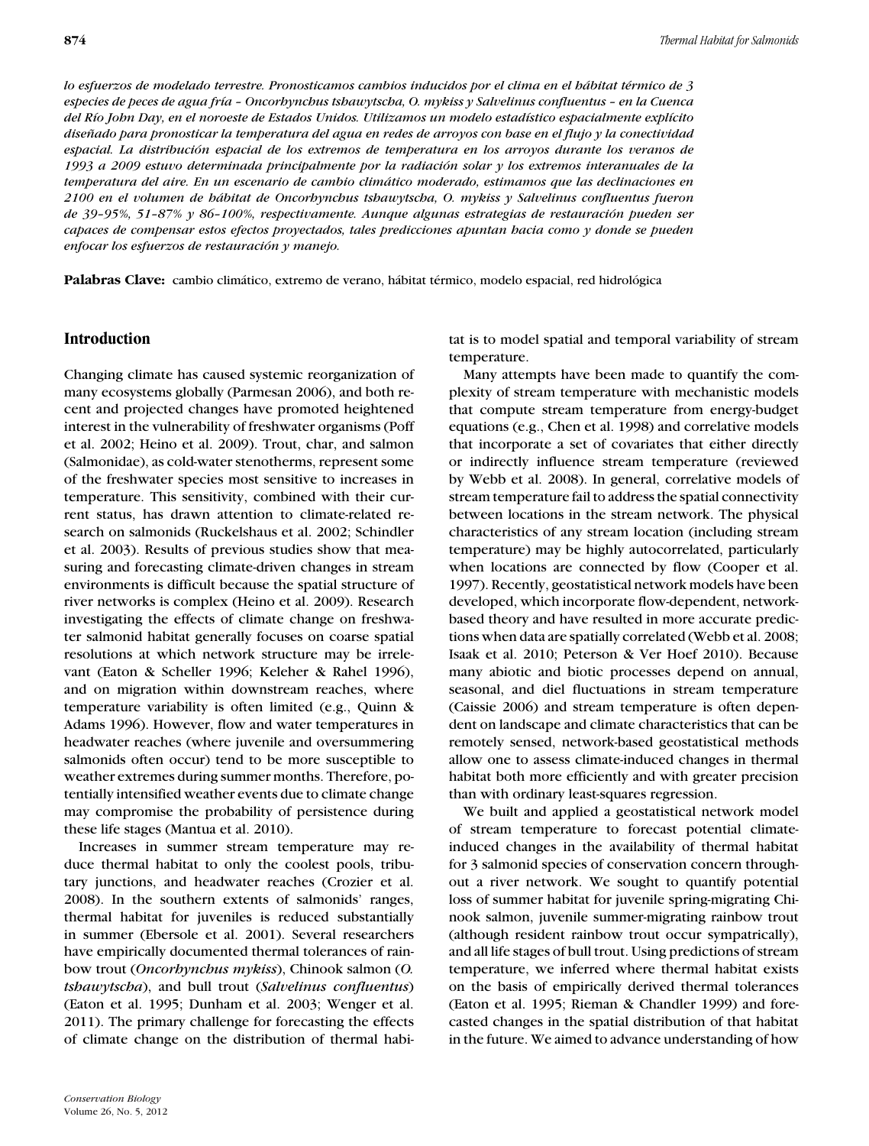*lo esfuerzos de modelado terrestre. Pronosticamos cambios inducidos por el clima en el habitat t ´ ´ermico de 3 especies de peces de agua fr´ıa – Oncorhynchus tshawytscha, O. mykiss y Salvelinus confluentus – en la Cuenca del R´ıo John Day, en el noroeste de Estados Unidos. Utilizamos un modelo estad´ıstico espacialmente expl´ıcito disenado para pronosticar la temperatura del agua en redes de arroyos con base en el flujo y la conectividad ˜ espacial. La distribucion espacial de los extremos de temperatura en los arroyos durante los veranos de ´ 1993 a 2009 estuvo determinada principalmente por la radiacion solar y los extremos interanuales de la ´ temperatura del aire. En un escenario de cambio climatico moderado, estimamos que las declinaciones en ´ 2100 en el volumen de habitat de Oncorhynchus tshawytscha, O. mykiss y Salvelinus confluentus fueron ´ de 39–95%, 51–87% y 86–100%, respectivamente. Aunque algunas estrategias de restauracion pueden ser ´ capaces de compensar estos efectos proyectados, tales predicciones apuntan hacia como y donde se pueden enfocar los esfuerzos de restauracion y manejo. ´*

**Palabras Clave:** cambio climático, extremo de verano, hábitat térmico, modelo espacial, red hidrológica

# **Introduction**

Changing climate has caused systemic reorganization of many ecosystems globally (Parmesan 2006), and both recent and projected changes have promoted heightened interest in the vulnerability of freshwater organisms (Poff et al. 2002; Heino et al. 2009). Trout, char, and salmon (Salmonidae), as cold-water stenotherms, represent some of the freshwater species most sensitive to increases in temperature. This sensitivity, combined with their current status, has drawn attention to climate-related research on salmonids (Ruckelshaus et al. 2002; Schindler et al. 2003). Results of previous studies show that measuring and forecasting climate-driven changes in stream environments is difficult because the spatial structure of river networks is complex (Heino et al. 2009). Research investigating the effects of climate change on freshwater salmonid habitat generally focuses on coarse spatial resolutions at which network structure may be irrelevant (Eaton & Scheller 1996; Keleher & Rahel 1996), and on migration within downstream reaches, where temperature variability is often limited (e.g., Quinn & Adams 1996). However, flow and water temperatures in headwater reaches (where juvenile and oversummering salmonids often occur) tend to be more susceptible to weather extremes during summer months. Therefore, potentially intensified weather events due to climate change may compromise the probability of persistence during these life stages (Mantua et al. 2010).

Increases in summer stream temperature may reduce thermal habitat to only the coolest pools, tributary junctions, and headwater reaches (Crozier et al. 2008). In the southern extents of salmonids' ranges, thermal habitat for juveniles is reduced substantially in summer (Ebersole et al. 2001). Several researchers have empirically documented thermal tolerances of rainbow trout (*Oncorhynchus mykiss*), Chinook salmon (*O. tshawytscha*), and bull trout (*Salvelinus confluentus*) (Eaton et al. 1995; Dunham et al. 2003; Wenger et al. 2011). The primary challenge for forecasting the effects of climate change on the distribution of thermal habitat is to model spatial and temporal variability of stream temperature.

Many attempts have been made to quantify the complexity of stream temperature with mechanistic models that compute stream temperature from energy-budget equations (e.g., Chen et al. 1998) and correlative models that incorporate a set of covariates that either directly or indirectly influence stream temperature (reviewed by Webb et al. 2008). In general, correlative models of stream temperature fail to address the spatial connectivity between locations in the stream network. The physical characteristics of any stream location (including stream temperature) may be highly autocorrelated, particularly when locations are connected by flow (Cooper et al. 1997). Recently, geostatistical network models have been developed, which incorporate flow-dependent, networkbased theory and have resulted in more accurate predictions when data are spatially correlated (Webb et al. 2008; Isaak et al. 2010; Peterson & Ver Hoef 2010). Because many abiotic and biotic processes depend on annual, seasonal, and diel fluctuations in stream temperature (Caissie 2006) and stream temperature is often dependent on landscape and climate characteristics that can be remotely sensed, network-based geostatistical methods allow one to assess climate-induced changes in thermal habitat both more efficiently and with greater precision than with ordinary least-squares regression.

We built and applied a geostatistical network model of stream temperature to forecast potential climateinduced changes in the availability of thermal habitat for 3 salmonid species of conservation concern throughout a river network. We sought to quantify potential loss of summer habitat for juvenile spring-migrating Chinook salmon, juvenile summer-migrating rainbow trout (although resident rainbow trout occur sympatrically), and all life stages of bull trout. Using predictions of stream temperature, we inferred where thermal habitat exists on the basis of empirically derived thermal tolerances (Eaton et al. 1995; Rieman & Chandler 1999) and forecasted changes in the spatial distribution of that habitat in the future. We aimed to advance understanding of how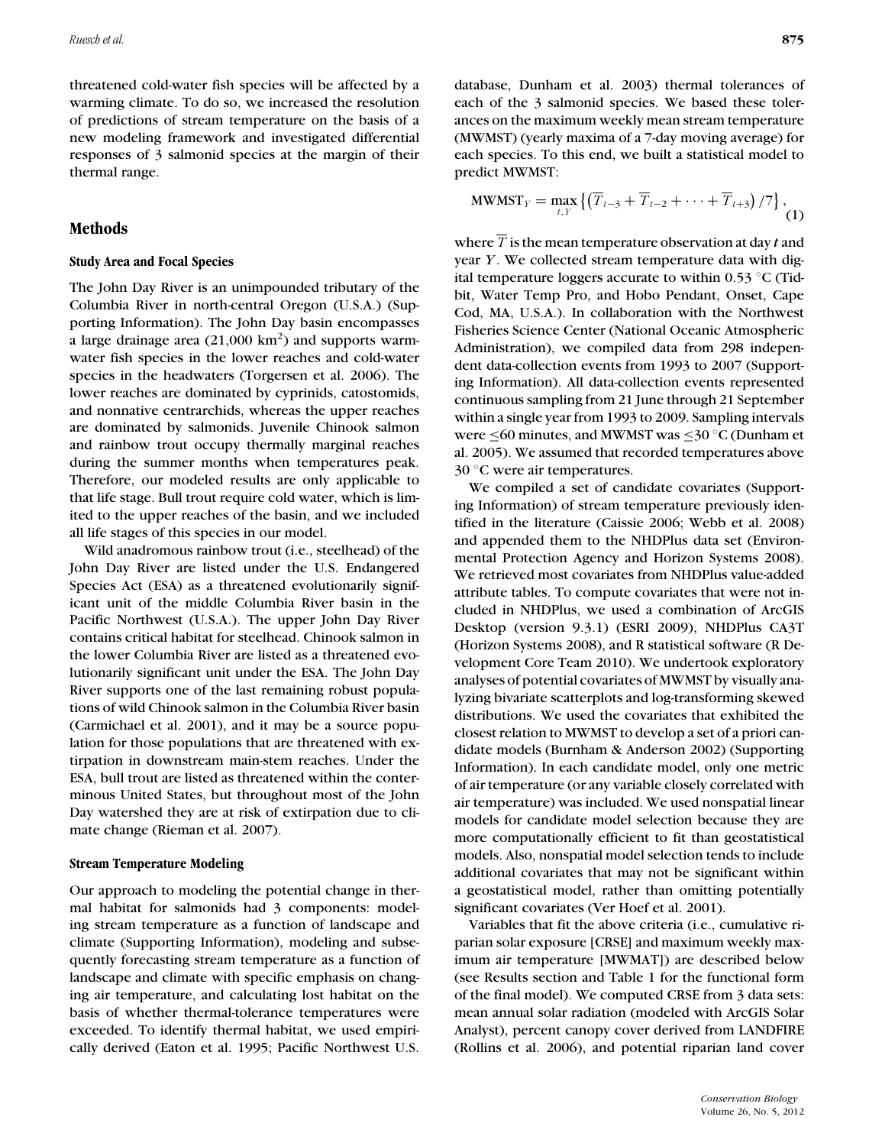threatened cold-water fish species will be affected by a warming climate. To do so, we increased the resolution of predictions of stream temperature on the basis of a new modeling framework and investigated differential responses of 3 salmonid species at the margin of their thermal range.

## **Methods**

#### **Study Area and Focal Species**

The John Day River is an unimpounded tributary of the Columbia River in north-central Oregon (U.S.A.) (Supporting Information). The John Day basin encompasses a large drainage area  $(21,000 \text{ km}^2)$  and supports warmwater fish species in the lower reaches and cold-water species in the headwaters (Torgersen et al. 2006). The lower reaches are dominated by cyprinids, catostomids, and nonnative centrarchids, whereas the upper reaches are dominated by salmonids. Juvenile Chinook salmon and rainbow trout occupy thermally marginal reaches during the summer months when temperatures peak. Therefore, our modeled results are only applicable to that life stage. Bull trout require cold water, which is limited to the upper reaches of the basin, and we included all life stages of this species in our model.

Wild anadromous rainbow trout (i.e., steelhead) of the John Day River are listed under the U.S. Endangered Species Act (ESA) as a threatened evolutionarily significant unit of the middle Columbia River basin in the Pacific Northwest (U.S.A.). The upper John Day River contains critical habitat for steelhead. Chinook salmon in the lower Columbia River are listed as a threatened evolutionarily significant unit under the ESA. The John Day River supports one of the last remaining robust populations of wild Chinook salmon in the Columbia River basin (Carmichael et al. 2001), and it may be a source population for those populations that are threatened with extirpation in downstream main-stem reaches. Under the ESA, bull trout are listed as threatened within the conterminous United States, but throughout most of the John Day watershed they are at risk of extirpation due to climate change (Rieman et al. 2007).

#### **Stream Temperature Modeling**

Our approach to modeling the potential change in thermal habitat for salmonids had 3 components: modeling stream temperature as a function of landscape and climate (Supporting Information), modeling and subsequently forecasting stream temperature as a function of landscape and climate with specific emphasis on changing air temperature, and calculating lost habitat on the basis of whether thermal-tolerance temperatures were exceeded. To identify thermal habitat, we used empirically derived (Eaton et al. 1995; Pacific Northwest U.S. database, Dunham et al. 2003) thermal tolerances of each of the 3 salmonid species. We based these tolerances on the maximum weekly mean stream temperature (MWMST) (yearly maxima of a 7-day moving average) for each species. To this end, we built a statistical model to predict MWMST:

$$
\text{MWMST}_Y = \max_{t, Y} \left\{ \left( \overline{T}_{t-3} + \overline{T}_{t-2} + \dots + \overline{T}_{t+3} \right) / 7 \right\},\tag{1}
$$

where  $\overline{T}$  is the mean temperature observation at day *t* and year *Y*. We collected stream temperature data with digital temperature loggers accurate to within 0.53 ◦C (Tidbit, Water Temp Pro, and Hobo Pendant, Onset, Cape Cod, MA, U.S.A.). In collaboration with the Northwest Fisheries Science Center (National Oceanic Atmospheric Administration), we compiled data from 298 independent data-collection events from 1993 to 2007 (Supporting Information). All data-collection events represented continuous sampling from 21 June through 21 September within a single year from 1993 to 2009. Sampling intervals were ≤60 minutes, and MWMST was ≤30 ◦C (Dunham et al. 2005). We assumed that recorded temperatures above 30 ◦C were air temperatures.

We compiled a set of candidate covariates (Supporting Information) of stream temperature previously identified in the literature (Caissie 2006; Webb et al. 2008) and appended them to the NHDPlus data set (Environmental Protection Agency and Horizon Systems 2008). We retrieved most covariates from NHDPlus value-added attribute tables. To compute covariates that were not included in NHDPlus, we used a combination of ArcGIS Desktop (version 9.3.1) (ESRI 2009), NHDPlus CA3T (Horizon Systems 2008), and R statistical software (R Development Core Team 2010). We undertook exploratory analyses of potential covariates of MWMST by visually analyzing bivariate scatterplots and log-transforming skewed distributions. We used the covariates that exhibited the closest relation to MWMST to develop a set of a priori candidate models (Burnham & Anderson 2002) (Supporting Information). In each candidate model, only one metric of air temperature (or any variable closely correlated with air temperature) was included. We used nonspatial linear models for candidate model selection because they are more computationally efficient to fit than geostatistical models. Also, nonspatial model selection tends to include additional covariates that may not be significant within a geostatistical model, rather than omitting potentially significant covariates (Ver Hoef et al. 2001).

Variables that fit the above criteria (i.e., cumulative riparian solar exposure [CRSE] and maximum weekly maximum air temperature [MWMAT]) are described below (see Results section and Table 1 for the functional form of the final model). We computed CRSE from 3 data sets: mean annual solar radiation (modeled with ArcGIS Solar Analyst), percent canopy cover derived from LANDFIRE (Rollins et al. 2006), and potential riparian land cover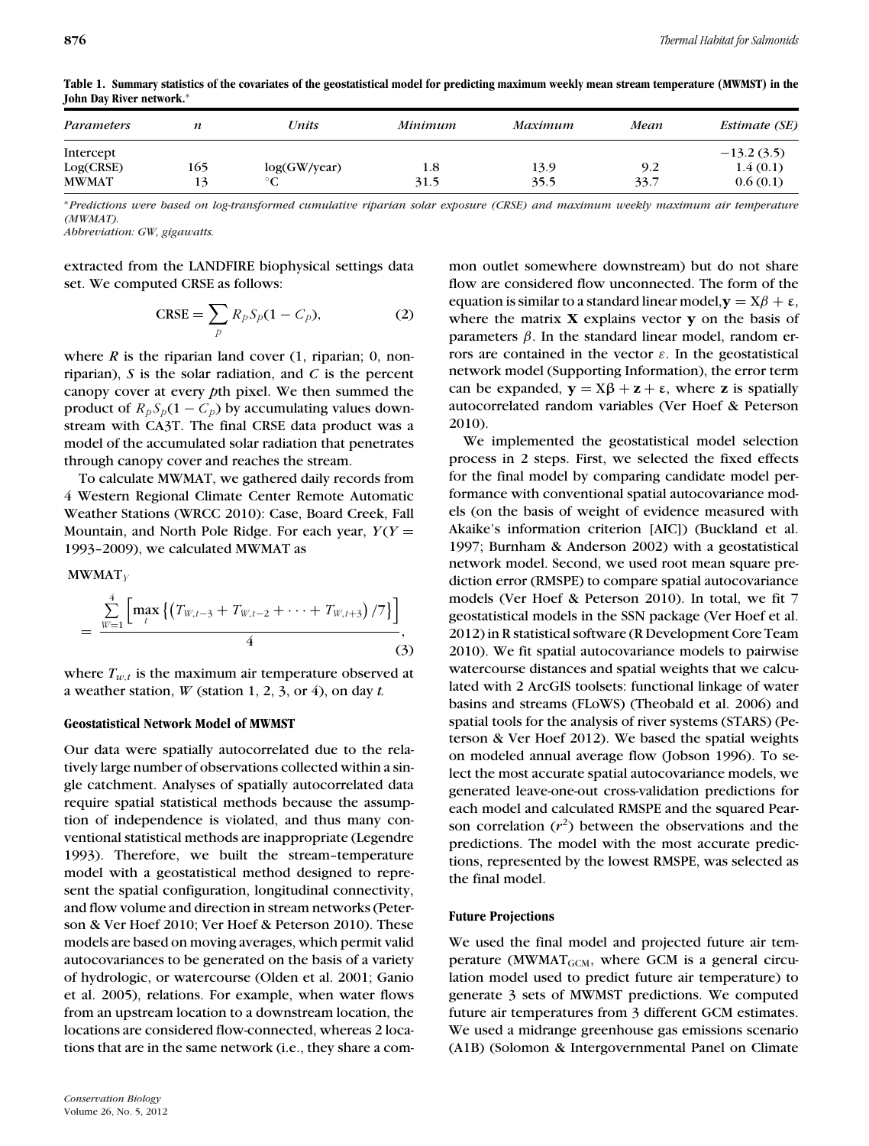**Table 1. Summary statistics of the covariates of the geostatistical model for predicting maximum weekly mean stream temperature (MWMST) in the John Day River network.**<sup>∗</sup>

∗*Predictions were based on log-transformed cumulative riparian solar exposure (CRSE) and maximum weekly maximum air temperature (MWMAT).*

*Abbreviation: GW, gigawatts.*

extracted from the LANDFIRE biophysical settings data set. We computed CRSE as follows:

$$
\text{CRSE} = \sum_{p} R_p S_p (1 - C_p), \tag{2}
$$

where  $R$  is the riparian land cover  $(1, r$  riparian;  $0, n$  onriparian), *S* is the solar radiation, and *C* is the percent canopy cover at every *p*th pixel. We then summed the product of  $R_p S_p (1 - C_p)$  by accumulating values downstream with CA3T. The final CRSE data product was a model of the accumulated solar radiation that penetrates through canopy cover and reaches the stream.

To calculate MWMAT, we gathered daily records from 4 Western Regional Climate Center Remote Automatic Weather Stations (WRCC 2010): Case, Board Creek, Fall Mountain, and North Pole Ridge. For each year, *Y*(*Y* = 1993–2009), we calculated MWMAT as

MWMAT*<sup>Y</sup>*

$$
= \frac{\sum\limits_{W=1}^{4} \left[ \max_{t} \left\{ \left( T_{W,t-3} + T_{W,t-2} + \cdots + T_{W,t+3} \right) / 7 \right\} \right]}{4}, \tag{3}
$$

where  $T_{w,t}$  is the maximum air temperature observed at a weather station, *W* (station 1, 2, 3, or 4), on day *t.*

#### **Geostatistical Network Model of MWMST**

Our data were spatially autocorrelated due to the relatively large number of observations collected within a single catchment. Analyses of spatially autocorrelated data require spatial statistical methods because the assumption of independence is violated, and thus many conventional statistical methods are inappropriate (Legendre 1993). Therefore, we built the stream–temperature model with a geostatistical method designed to represent the spatial configuration, longitudinal connectivity, and flow volume and direction in stream networks (Peterson & Ver Hoef 2010; Ver Hoef & Peterson 2010). These models are based on moving averages, which permit valid autocovariances to be generated on the basis of a variety of hydrologic, or watercourse (Olden et al. 2001; Ganio et al. 2005), relations. For example, when water flows from an upstream location to a downstream location, the locations are considered flow-connected, whereas 2 locations that are in the same network (i.e., they share a common outlet somewhere downstream) but do not share flow are considered flow unconnected. The form of the equation is similar to a standard linear model,  $y = X\beta + \varepsilon$ , where the matrix **X** explains vector **y** on the basis of parameters  $β$ . In the standard linear model, random errors are contained in the vector ε. In the geostatistical network model (Supporting Information), the error term can be expanded,  $\mathbf{y} = \mathbf{X}\boldsymbol{\beta} + \mathbf{z} + \boldsymbol{\epsilon}$ , where **z** is spatially autocorrelated random variables (Ver Hoef & Peterson 2010).

We implemented the geostatistical model selection process in 2 steps. First, we selected the fixed effects for the final model by comparing candidate model performance with conventional spatial autocovariance models (on the basis of weight of evidence measured with Akaike's information criterion [AIC]) (Buckland et al. 1997; Burnham & Anderson 2002) with a geostatistical network model. Second, we used root mean square prediction error (RMSPE) to compare spatial autocovariance models (Ver Hoef & Peterson 2010). In total, we fit 7 geostatistical models in the SSN package (Ver Hoef et al. 2012) in R statistical software (R Development Core Team 2010). We fit spatial autocovariance models to pairwise watercourse distances and spatial weights that we calculated with 2 ArcGIS toolsets: functional linkage of water basins and streams (FLoWS) (Theobald et al. 2006) and spatial tools for the analysis of river systems (STARS) (Peterson & Ver Hoef 2012). We based the spatial weights on modeled annual average flow (Jobson 1996). To select the most accurate spatial autocovariance models, we generated leave-one-out cross-validation predictions for each model and calculated RMSPE and the squared Pearson correlation  $(r^2)$  between the observations and the predictions. The model with the most accurate predictions, represented by the lowest RMSPE, was selected as the final model.

#### **Future Projections**

We used the final model and projected future air temperature (MWMAT $_{GCM}$ , where GCM is a general circulation model used to predict future air temperature) to generate 3 sets of MWMST predictions. We computed future air temperatures from 3 different GCM estimates. We used a midrange greenhouse gas emissions scenario (A1B) (Solomon & Intergovernmental Panel on Climate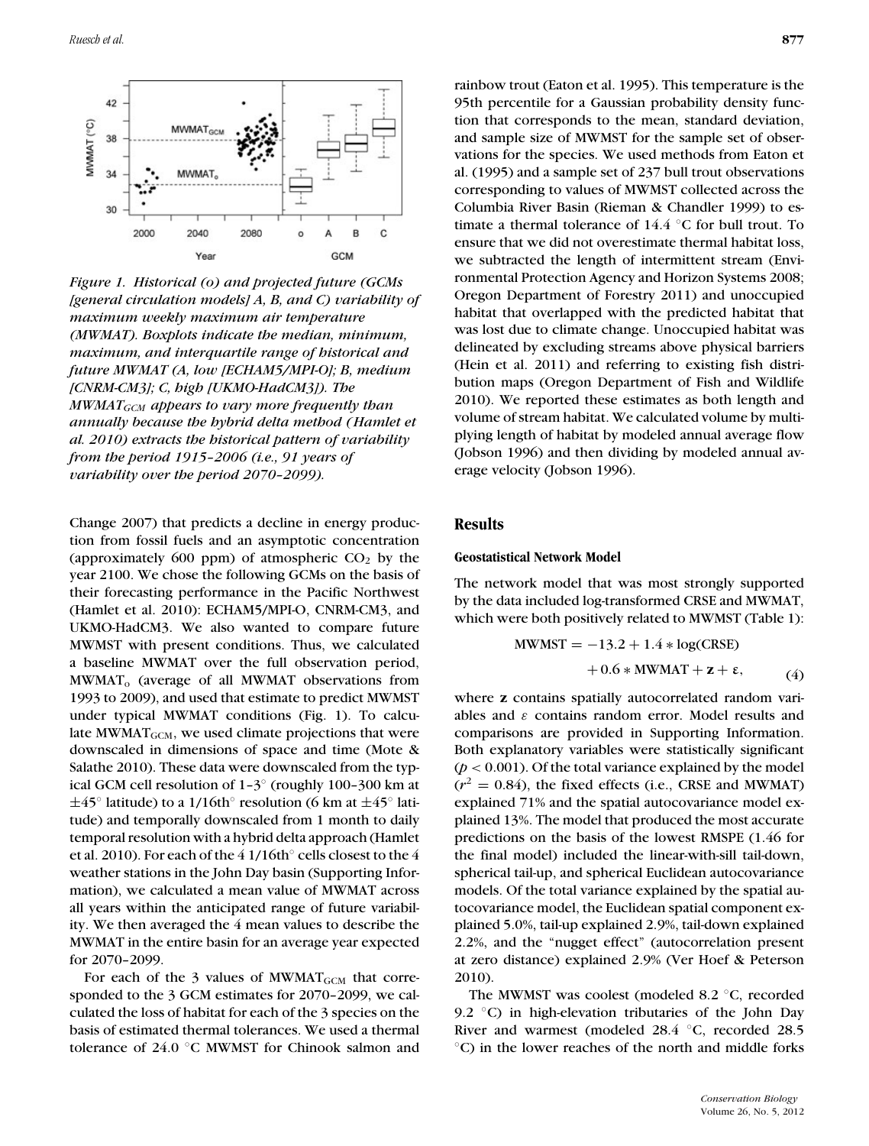

*Figure 1. Historical (o) and projected future (GCMs [general circulation models] A, B, and C) variability of maximum weekly maximum air temperature (MWMAT). Boxplots indicate the median, minimum, maximum, and interquartile range of historical and future MWMAT (A, low [ECHAM5/MPI-O]; B, medium [CNRM-CM3]; C, high [UKMO-HadCM3]). The MWMATGCM appears to vary more frequently than annually because the hybrid delta method ( Hamlet et al. 2010) extracts the historical pattern of variability from the period 1915–2006 (i.e., 91 years of variability over the period 2070–2099).*

Change 2007) that predicts a decline in energy production from fossil fuels and an asymptotic concentration (approximately 600 ppm) of atmospheric  $CO<sub>2</sub>$  by the year 2100. We chose the following GCMs on the basis of their forecasting performance in the Pacific Northwest (Hamlet et al. 2010): ECHAM5/MPI-O, CNRM-CM3, and UKMO-HadCM3. We also wanted to compare future MWMST with present conditions. Thus, we calculated a baseline MWMAT over the full observation period,  $MWMAT<sub>o</sub>$  (average of all MWMAT observations from 1993 to 2009), and used that estimate to predict MWMST under typical MWMAT conditions (Fig. 1). To calculate  $MWMAT_{GCM}$ , we used climate projections that were downscaled in dimensions of space and time (Mote & Salathe 2010). These data were downscaled from the typical GCM cell resolution of 1–3◦ (roughly 100–300 km at  $\pm$ 45° latitude) to a 1/16th° resolution (6 km at  $\pm$ 45° latitude) and temporally downscaled from 1 month to daily temporal resolution with a hybrid delta approach (Hamlet et al. 2010). For each of the 4 1/16th◦ cells closest to the 4 weather stations in the John Day basin (Supporting Information), we calculated a mean value of MWMAT across all years within the anticipated range of future variability. We then averaged the 4 mean values to describe the MWMAT in the entire basin for an average year expected for 2070–2099.

For each of the 3 values of  $MWMAT_{GCM}$  that corresponded to the 3 GCM estimates for 2070–2099, we calculated the loss of habitat for each of the 3 species on the basis of estimated thermal tolerances. We used a thermal tolerance of 24.0 ◦C MWMST for Chinook salmon and rainbow trout (Eaton et al. 1995). This temperature is the 95th percentile for a Gaussian probability density function that corresponds to the mean, standard deviation, and sample size of MWMST for the sample set of observations for the species. We used methods from Eaton et al. (1995) and a sample set of 237 bull trout observations corresponding to values of MWMST collected across the Columbia River Basin (Rieman & Chandler 1999) to estimate a thermal tolerance of 14.4 ◦C for bull trout. To ensure that we did not overestimate thermal habitat loss, we subtracted the length of intermittent stream (Environmental Protection Agency and Horizon Systems 2008; Oregon Department of Forestry 2011) and unoccupied habitat that overlapped with the predicted habitat that was lost due to climate change. Unoccupied habitat was delineated by excluding streams above physical barriers (Hein et al. 2011) and referring to existing fish distribution maps (Oregon Department of Fish and Wildlife 2010). We reported these estimates as both length and volume of stream habitat. We calculated volume by multiplying length of habitat by modeled annual average flow (Jobson 1996) and then dividing by modeled annual average velocity (Jobson 1996).

### **Results**

#### **Geostatistical Network Model**

The network model that was most strongly supported by the data included log-transformed CRSE and MWMAT, which were both positively related to MWMST (Table 1):

$$
\text{MWMST} = -13.2 + 1.4 * \log(\text{CRSE})
$$

$$
+ 0.6 * \text{MWMAT} + z + \varepsilon,
$$
 (4)

where **z** contains spatially autocorrelated random variables and  $\varepsilon$  contains random error. Model results and comparisons are provided in Supporting Information. Both explanatory variables were statistically significant  $(p < 0.001)$ . Of the total variance explained by the model  $(r^2 = 0.84)$ , the fixed effects (i.e., CRSE and MWMAT) explained 71% and the spatial autocovariance model explained 13%. The model that produced the most accurate predictions on the basis of the lowest RMSPE (1.46 for the final model) included the linear-with-sill tail-down, spherical tail-up, and spherical Euclidean autocovariance models. Of the total variance explained by the spatial autocovariance model, the Euclidean spatial component explained 5.0%, tail-up explained 2.9%, tail-down explained 2.2%, and the "nugget effect" (autocorrelation present at zero distance) explained 2.9% (Ver Hoef & Peterson 2010).

The MWMST was coolest (modeled 8.2 ◦C, recorded 9.2 ◦C) in high-elevation tributaries of the John Day River and warmest (modeled 28.4 ◦C, recorded 28.5 ◦C) in the lower reaches of the north and middle forks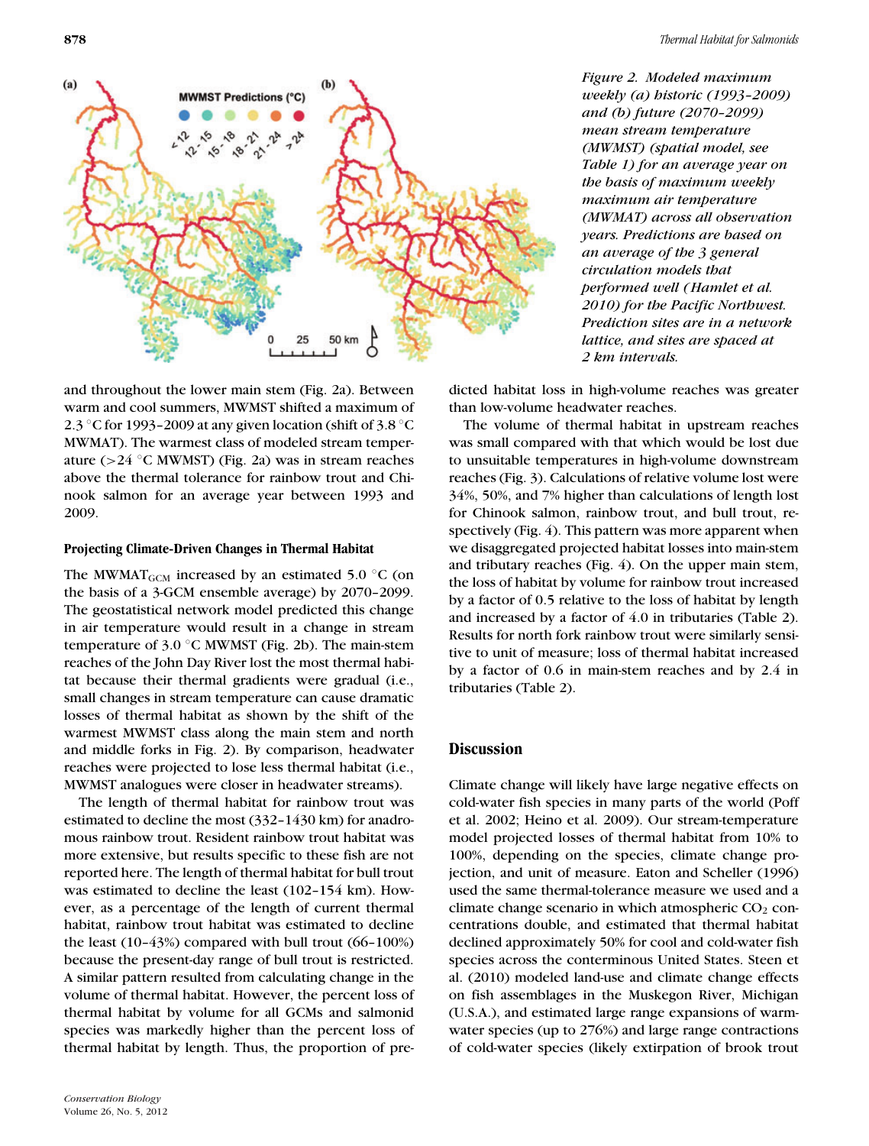

and throughout the lower main stem (Fig. 2a). Between warm and cool summers, MWMST shifted a maximum of 2.3  $\degree$ C for 1993–2009 at any given location (shift of 3.8  $\degree$ C MWMAT). The warmest class of modeled stream temperature ( $>$ 24 °C MWMST) (Fig. 2a) was in stream reaches above the thermal tolerance for rainbow trout and Chinook salmon for an average year between 1993 and 2009.

# **Projecting Climate-Driven Changes in Thermal Habitat**

The MWMAT<sub>GCM</sub> increased by an estimated 5.0  $\degree$ C (on the basis of a 3-GCM ensemble average) by 2070–2099. The geostatistical network model predicted this change in air temperature would result in a change in stream temperature of 3.0 ◦C MWMST (Fig. 2b). The main-stem reaches of the John Day River lost the most thermal habitat because their thermal gradients were gradual (i.e., small changes in stream temperature can cause dramatic losses of thermal habitat as shown by the shift of the warmest MWMST class along the main stem and north and middle forks in Fig. 2). By comparison, headwater reaches were projected to lose less thermal habitat (i.e., MWMST analogues were closer in headwater streams).

The length of thermal habitat for rainbow trout was estimated to decline the most (332–1430 km) for anadromous rainbow trout. Resident rainbow trout habitat was more extensive, but results specific to these fish are not reported here. The length of thermal habitat for bull trout was estimated to decline the least (102–154 km). However, as a percentage of the length of current thermal habitat, rainbow trout habitat was estimated to decline the least (10–43%) compared with bull trout (66–100%) because the present-day range of bull trout is restricted. A similar pattern resulted from calculating change in the volume of thermal habitat. However, the percent loss of thermal habitat by volume for all GCMs and salmonid species was markedly higher than the percent loss of thermal habitat by length. Thus, the proportion of pre-

**878** *Thermal Habitat for Salmonids*

*Figure 2. Modeled maximum weekly (a) historic (1993–2009) and (b) future (2070–2099) mean stream temperature (MWMST) (spatial model, see Table 1) for an average year on the basis of maximum weekly maximum air temperature (MWMAT) across all observation years. Predictions are based on an average of the 3 general circulation models that performed well ( Hamlet et al. 2010) for the Pacific Northwest. Prediction sites are in a network lattice, and sites are spaced at 2 km intervals.*

dicted habitat loss in high-volume reaches was greater than low-volume headwater reaches.

The volume of thermal habitat in upstream reaches was small compared with that which would be lost due to unsuitable temperatures in high-volume downstream reaches (Fig. 3). Calculations of relative volume lost were 34%, 50%, and 7% higher than calculations of length lost for Chinook salmon, rainbow trout, and bull trout, respectively (Fig. 4). This pattern was more apparent when we disaggregated projected habitat losses into main-stem and tributary reaches (Fig. 4). On the upper main stem, the loss of habitat by volume for rainbow trout increased by a factor of 0.5 relative to the loss of habitat by length and increased by a factor of 4.0 in tributaries (Table 2). Results for north fork rainbow trout were similarly sensitive to unit of measure; loss of thermal habitat increased by a factor of 0.6 in main-stem reaches and by 2.4 in tributaries (Table 2).

## **Discussion**

Climate change will likely have large negative effects on cold-water fish species in many parts of the world (Poff et al. 2002; Heino et al. 2009). Our stream-temperature model projected losses of thermal habitat from 10% to 100%, depending on the species, climate change projection, and unit of measure. Eaton and Scheller (1996) used the same thermal-tolerance measure we used and a climate change scenario in which atmospheric  $CO<sub>2</sub>$  concentrations double, and estimated that thermal habitat declined approximately 50% for cool and cold-water fish species across the conterminous United States. Steen et al. (2010) modeled land-use and climate change effects on fish assemblages in the Muskegon River, Michigan (U.S.A.), and estimated large range expansions of warmwater species (up to 276%) and large range contractions of cold-water species (likely extirpation of brook trout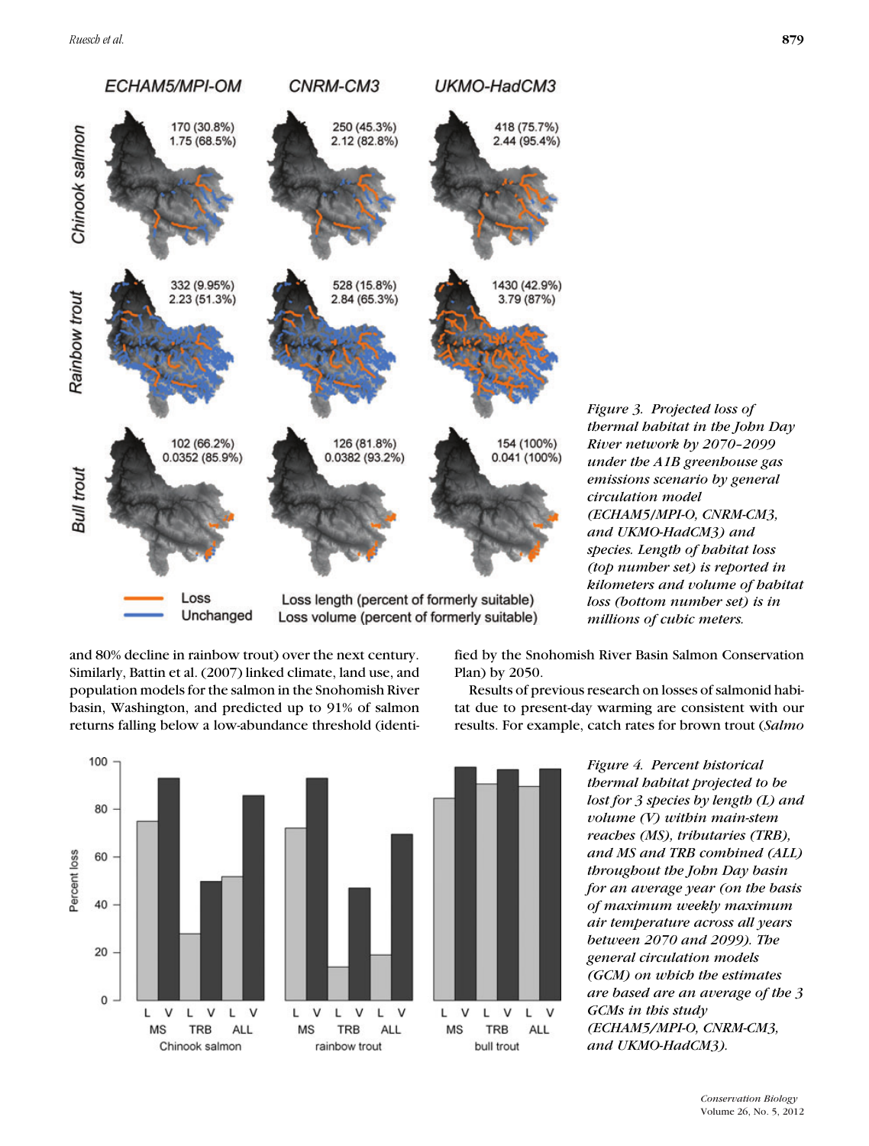

Loss volume (percent of formerly suitable)

*Figure 3. Projected loss of thermal habitat in the John Day River network by 2070–2099*

and 80% decline in rainbow trout) over the next century. Similarly, Battin et al. (2007) linked climate, land use, and population models for the salmon in the Snohomish River basin, Washington, and predicted up to 91% of salmon returns falling below a low-abundance threshold (identi-





*Figure 4. Percent historical thermal habitat projected to be lost for 3 species by length (L) and volume (V) within main-stem reaches (MS), tributaries (TRB), and MS and TRB combined (ALL) throughout the John Day basin for an average year (on the basis of maximum weekly maximum air temperature across all years between 2070 and 2099). The general circulation models (GCM) on which the estimates are based are an average of the 3 GCMs in this study (ECHAM5/MPI-O, CNRM-CM3, and UKMO-HadCM3).*

*under the A1B greenhouse gas emissions scenario by general circulation model (ECHAM5*/*MPI-O, CNRM-CM3, and UKMO-HadCM3) and species. Length of habitat loss (top number set) is reported in kilometers and volume of habitat loss (bottom number set) is in millions of cubic meters.*

fied by the Snohomish River Basin Salmon Conservation Plan) by 2050.

Results of previous research on losses of salmonid habitat due to present-day warming are consistent with our results. For example, catch rates for brown trout (*Salmo*

> *Conservation Biology* Volume 26, No. 5, 2012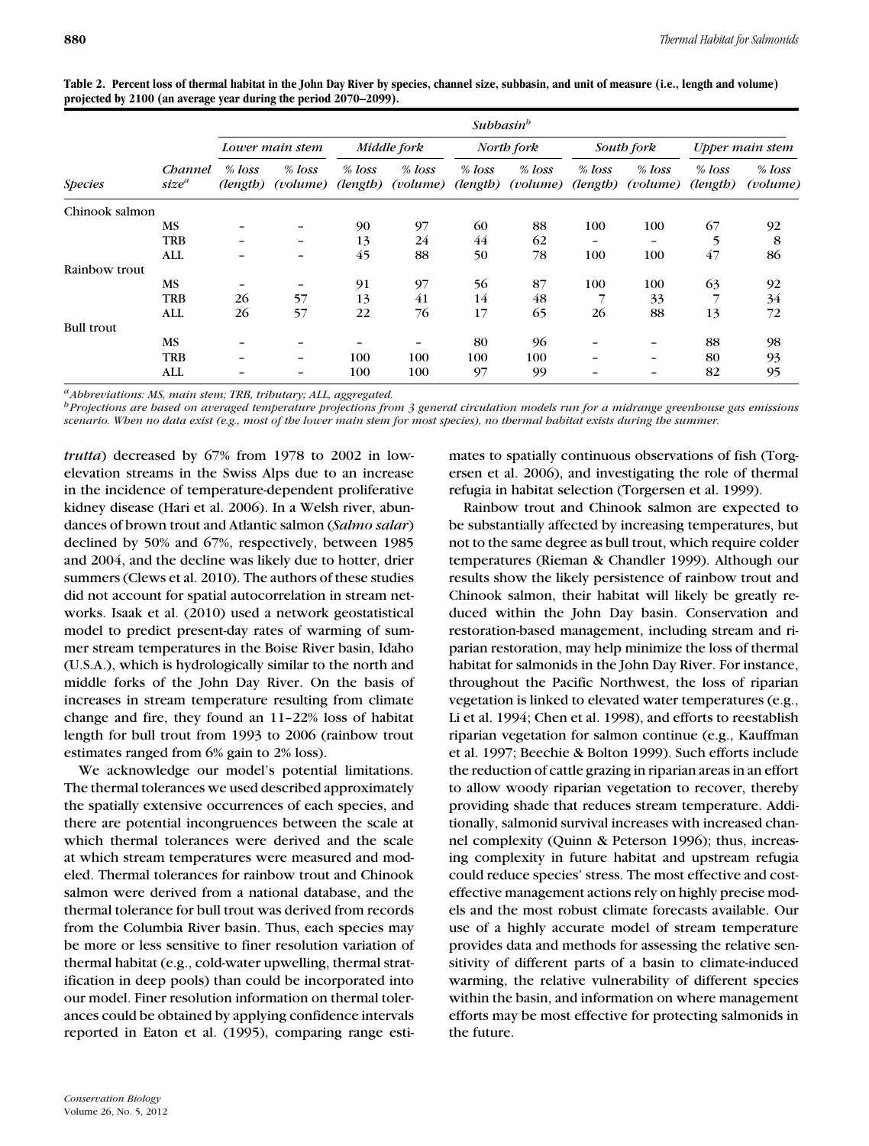| <b>Species</b>    | <i>Channel</i><br>size <sup>a</sup> | $Subbasin^b$         |                      |             |                               |            |                             |                    |                      |                      |                      |
|-------------------|-------------------------------------|----------------------|----------------------|-------------|-------------------------------|------------|-----------------------------|--------------------|----------------------|----------------------|----------------------|
|                   |                                     | Lower main stem      |                      | Middle fork |                               | North fork |                             | South fork         |                      | Upper main stem      |                      |
|                   |                                     | $%$ loss<br>(length) | $%$ loss<br>(volume) | $%$ loss    | $%$ loss<br>(length) (volume) | $%$ loss   | % loss<br>(length) (volume) | % loss<br>(length) | $%$ loss<br>(volume) | $%$ loss<br>(length) | $%$ loss<br>(volume) |
| Chinook salmon    |                                     |                      |                      |             |                               |            |                             |                    |                      |                      |                      |
|                   | <b>MS</b>                           |                      |                      | 90          | 97                            | 60         | 88                          | 100                | 100                  | 67                   | 92                   |
|                   | <b>TRB</b>                          |                      |                      | 13          | 24                            | 44         | 62                          |                    |                      |                      | 8                    |
|                   | ALL                                 |                      |                      | 45          | 88                            | 50         | 78                          | 100                | 100                  | 47                   | 86                   |
| Rainbow trout     |                                     |                      |                      |             |                               |            |                             |                    |                      |                      |                      |
|                   | MS                                  |                      |                      | 91          | 97                            | 56         | 87                          | 100                | 100                  | 63                   | 92                   |
|                   | <b>TRB</b>                          | 26                   | 57                   | 13          | 41                            | 14         | 48                          |                    | 33                   |                      | 34                   |
|                   | ALL                                 | 26                   | 57                   | 22          | 76                            | 17         | 65                          | 26                 | 88                   | 13                   | 72                   |
| <b>Bull trout</b> |                                     |                      |                      |             |                               |            |                             |                    |                      |                      |                      |
|                   | <b>MS</b>                           |                      |                      |             |                               | 80         | 96                          |                    |                      | 88                   | 98                   |
|                   | <b>TRB</b>                          |                      |                      | 100         | 100                           | 100        | 100                         |                    |                      | 80                   | 93                   |
|                   | ALL                                 |                      |                      | 100         | 100                           | 97         | 99                          |                    |                      | 82                   | 95                   |

**Table 2. Percent loss of thermal habitat in the John Day River by species, channel size, subbasin, and unit of measure (i.e., length and volume) projected by 2100 (an average year during the period 2070–2099).**

*aAbbreviations: MS, main stem; TRB, tributary; ALL, aggregated.*

*bProjections are based on averaged temperature projections from 3 general circulation models run for a midrange greenhouse gas emissions scenario. When no data exist (e.g., most of the lower main stem for most species), no thermal habitat exists during the summer.*

*trutta*) decreased by 67% from 1978 to 2002 in lowelevation streams in the Swiss Alps due to an increase in the incidence of temperature-dependent proliferative kidney disease (Hari et al. 2006). In a Welsh river, abundances of brown trout and Atlantic salmon (*Salmo salar*) declined by 50% and 67%, respectively, between 1985 and 2004, and the decline was likely due to hotter, drier summers (Clews et al. 2010). The authors of these studies did not account for spatial autocorrelation in stream networks. Isaak et al. (2010) used a network geostatistical model to predict present-day rates of warming of summer stream temperatures in the Boise River basin, Idaho (U.S.A.), which is hydrologically similar to the north and middle forks of the John Day River. On the basis of increases in stream temperature resulting from climate change and fire, they found an 11–22% loss of habitat length for bull trout from 1993 to 2006 (rainbow trout estimates ranged from 6% gain to 2% loss).

We acknowledge our model's potential limitations. The thermal tolerances we used described approximately the spatially extensive occurrences of each species, and there are potential incongruences between the scale at which thermal tolerances were derived and the scale at which stream temperatures were measured and modeled. Thermal tolerances for rainbow trout and Chinook salmon were derived from a national database, and the thermal tolerance for bull trout was derived from records from the Columbia River basin. Thus, each species may be more or less sensitive to finer resolution variation of thermal habitat (e.g., cold-water upwelling, thermal stratification in deep pools) than could be incorporated into our model. Finer resolution information on thermal tolerances could be obtained by applying confidence intervals reported in Eaton et al. (1995), comparing range estimates to spatially continuous observations of fish (Torgersen et al. 2006), and investigating the role of thermal refugia in habitat selection (Torgersen et al. 1999).

Rainbow trout and Chinook salmon are expected to be substantially affected by increasing temperatures, but not to the same degree as bull trout, which require colder temperatures (Rieman & Chandler 1999). Although our results show the likely persistence of rainbow trout and Chinook salmon, their habitat will likely be greatly reduced within the John Day basin. Conservation and restoration-based management, including stream and riparian restoration, may help minimize the loss of thermal habitat for salmonids in the John Day River. For instance, throughout the Pacific Northwest, the loss of riparian vegetation is linked to elevated water temperatures (e.g., Li et al. 1994; Chen et al. 1998), and efforts to reestablish riparian vegetation for salmon continue (e.g., Kauffman et al. 1997; Beechie & Bolton 1999). Such efforts include the reduction of cattle grazing in riparian areas in an effort to allow woody riparian vegetation to recover, thereby providing shade that reduces stream temperature. Additionally, salmonid survival increases with increased channel complexity (Quinn & Peterson 1996); thus, increasing complexity in future habitat and upstream refugia could reduce species' stress. The most effective and costeffective management actions rely on highly precise models and the most robust climate forecasts available. Our use of a highly accurate model of stream temperature provides data and methods for assessing the relative sensitivity of different parts of a basin to climate-induced warming, the relative vulnerability of different species within the basin, and information on where management efforts may be most effective for protecting salmonids in the future.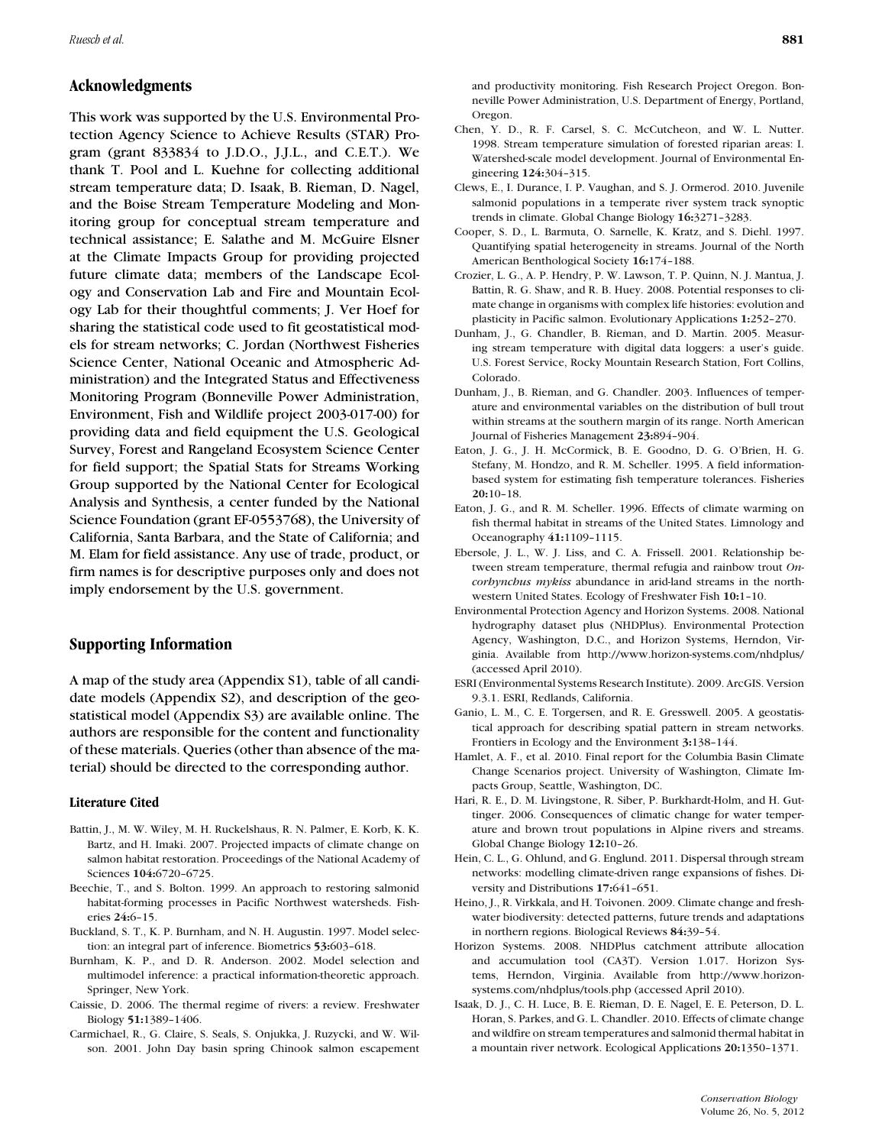# **Acknowledgments**

This work was supported by the U.S. Environmental Protection Agency Science to Achieve Results (STAR) Program (grant 833834 to J.D.O., J.J.L., and C.E.T.). We thank T. Pool and L. Kuehne for collecting additional stream temperature data; D. Isaak, B. Rieman, D. Nagel, and the Boise Stream Temperature Modeling and Monitoring group for conceptual stream temperature and technical assistance; E. Salathe and M. McGuire Elsner at the Climate Impacts Group for providing projected future climate data; members of the Landscape Ecology and Conservation Lab and Fire and Mountain Ecology Lab for their thoughtful comments; J. Ver Hoef for sharing the statistical code used to fit geostatistical models for stream networks; C. Jordan (Northwest Fisheries Science Center, National Oceanic and Atmospheric Administration) and the Integrated Status and Effectiveness Monitoring Program (Bonneville Power Administration, Environment, Fish and Wildlife project 2003-017-00) for providing data and field equipment the U.S. Geological Survey, Forest and Rangeland Ecosystem Science Center for field support; the Spatial Stats for Streams Working Group supported by the National Center for Ecological Analysis and Synthesis, a center funded by the National Science Foundation (grant EF-0553768), the University of California, Santa Barbara, and the State of California; and M. Elam for field assistance. Any use of trade, product, or firm names is for descriptive purposes only and does not imply endorsement by the U.S. government.

# **Supporting Information**

A map of the study area (Appendix S1), table of all candidate models (Appendix S2), and description of the geostatistical model (Appendix S3) are available online. The authors are responsible for the content and functionality of these materials. Queries (other than absence of the material) should be directed to the corresponding author.

#### **Literature Cited**

- Battin, J., M. W. Wiley, M. H. Ruckelshaus, R. N. Palmer, E. Korb, K. K. Bartz, and H. Imaki. 2007. Projected impacts of climate change on salmon habitat restoration. Proceedings of the National Academy of Sciences **104:**6720–6725.
- Beechie, T., and S. Bolton. 1999. An approach to restoring salmonid habitat-forming processes in Pacific Northwest watersheds. Fisheries **24:**6–15.
- Buckland, S. T., K. P. Burnham, and N. H. Augustin. 1997. Model selection: an integral part of inference. Biometrics **53:**603–618.
- Burnham, K. P., and D. R. Anderson. 2002. Model selection and multimodel inference: a practical information-theoretic approach. Springer, New York.
- Caissie, D. 2006. The thermal regime of rivers: a review. Freshwater Biology **51:**1389–1406.
- Carmichael, R., G. Claire, S. Seals, S. Onjukka, J. Ruzycki, and W. Wilson. 2001. John Day basin spring Chinook salmon escapement

and productivity monitoring. Fish Research Project Oregon. Bonneville Power Administration, U.S. Department of Energy, Portland, Oregon.

- Chen, Y. D., R. F. Carsel, S. C. McCutcheon, and W. L. Nutter. 1998. Stream temperature simulation of forested riparian areas: I. Watershed-scale model development. Journal of Environmental Engineering **124:**304–315.
- Clews, E., I. Durance, I. P. Vaughan, and S. J. Ormerod. 2010. Juvenile salmonid populations in a temperate river system track synoptic trends in climate. Global Change Biology **16:**3271–3283.
- Cooper, S. D., L. Barmuta, O. Sarnelle, K. Kratz, and S. Diehl. 1997. Quantifying spatial heterogeneity in streams. Journal of the North American Benthological Society **16:**174–188.
- Crozier, L. G., A. P. Hendry, P. W. Lawson, T. P. Quinn, N. J. Mantua, J. Battin, R. G. Shaw, and R. B. Huey. 2008. Potential responses to climate change in organisms with complex life histories: evolution and plasticity in Pacific salmon. Evolutionary Applications **1:**252–270.
- Dunham, J., G. Chandler, B. Rieman, and D. Martin. 2005. Measuring stream temperature with digital data loggers: a user's guide. U.S. Forest Service, Rocky Mountain Research Station, Fort Collins, Colorado.
- Dunham, J., B. Rieman, and G. Chandler. 2003. Influences of temperature and environmental variables on the distribution of bull trout within streams at the southern margin of its range. North American Journal of Fisheries Management **23:**894–904.
- Eaton, J. G., J. H. McCormick, B. E. Goodno, D. G. O'Brien, H. G. Stefany, M. Hondzo, and R. M. Scheller. 1995. A field informationbased system for estimating fish temperature tolerances. Fisheries **20:**10–18.
- Eaton, J. G., and R. M. Scheller. 1996. Effects of climate warming on fish thermal habitat in streams of the United States. Limnology and Oceanography **41:**1109–1115.
- Ebersole, J. L., W. J. Liss, and C. A. Frissell. 2001. Relationship between stream temperature, thermal refugia and rainbow trout *Oncorhynchus mykiss* abundance in arid-land streams in the northwestern United States. Ecology of Freshwater Fish **10:**1–10.
- Environmental Protection Agency and Horizon Systems. 2008. National hydrography dataset plus (NHDPlus). Environmental Protection Agency, Washington, D.C., and Horizon Systems, Herndon, Virginia. Available from http://www.horizon-systems.com/nhdplus/ (accessed April 2010).
- ESRI (Environmental Systems Research Institute). 2009. ArcGIS. Version 9.3.1. ESRI, Redlands, California.
- Ganio, L. M., C. E. Torgersen, and R. E. Gresswell. 2005. A geostatistical approach for describing spatial pattern in stream networks. Frontiers in Ecology and the Environment **3:**138–144.
- Hamlet, A. F., et al. 2010. Final report for the Columbia Basin Climate Change Scenarios project. University of Washington, Climate Impacts Group, Seattle, Washington, DC.
- Hari, R. E., D. M. Livingstone, R. Siber, P. Burkhardt-Holm, and H. Guttinger. 2006. Consequences of climatic change for water temperature and brown trout populations in Alpine rivers and streams. Global Change Biology **12:**10–26.
- Hein, C. L., G. Ohlund, and G. Englund. 2011. Dispersal through stream networks: modelling climate-driven range expansions of fishes. Diversity and Distributions **17:**641–651.
- Heino, J., R. Virkkala, and H. Toivonen. 2009. Climate change and freshwater biodiversity: detected patterns, future trends and adaptations in northern regions. Biological Reviews **84:**39–54.
- Horizon Systems. 2008. NHDPlus catchment attribute allocation and accumulation tool (CA3T). Version 1.017. Horizon Systems, Herndon, Virginia. Available from http://www.horizonsystems.com/nhdplus/tools.php (accessed April 2010).
- Isaak, D. J., C. H. Luce, B. E. Rieman, D. E. Nagel, E. E. Peterson, D. L. Horan, S. Parkes, and G. L. Chandler. 2010. Effects of climate change and wildfire on stream temperatures and salmonid thermal habitat in a mountain river network. Ecological Applications **20:**1350–1371.